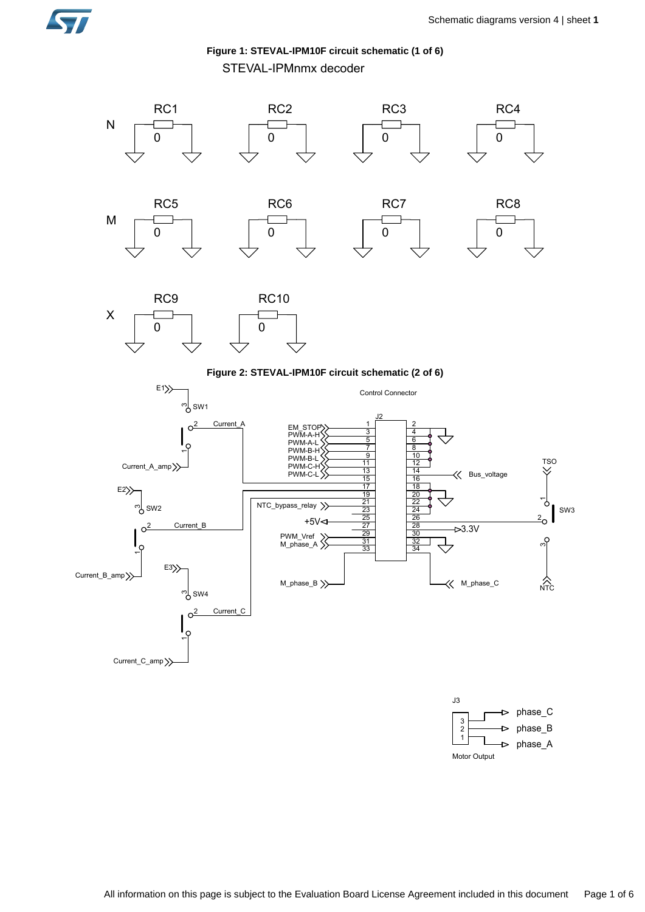



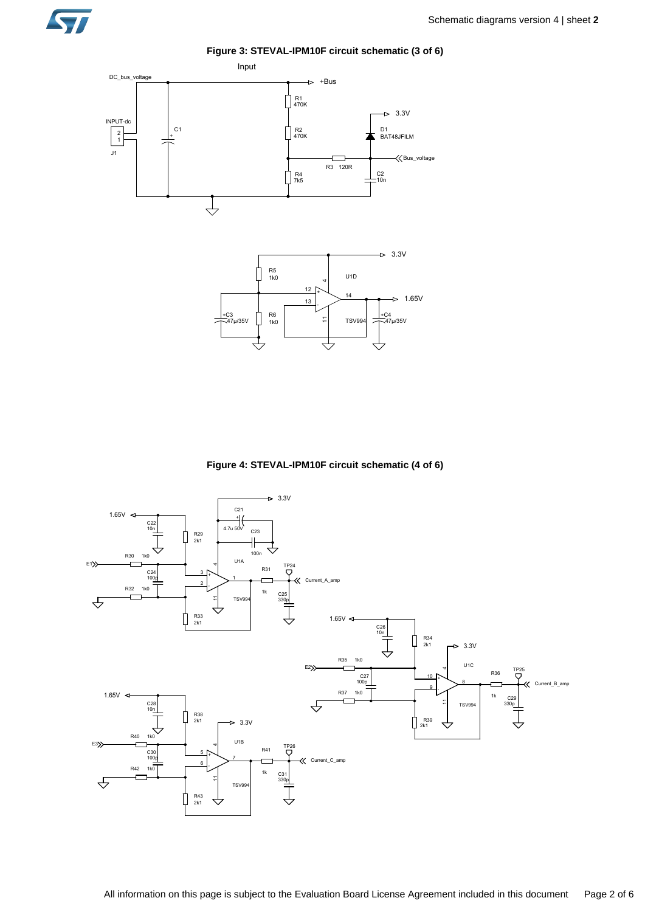

**Figure 3: STEVAL-IPM10F circuit schematic (3 of 6)**





**Figure 4: STEVAL-IPM10F circuit schematic (4 of 6)**

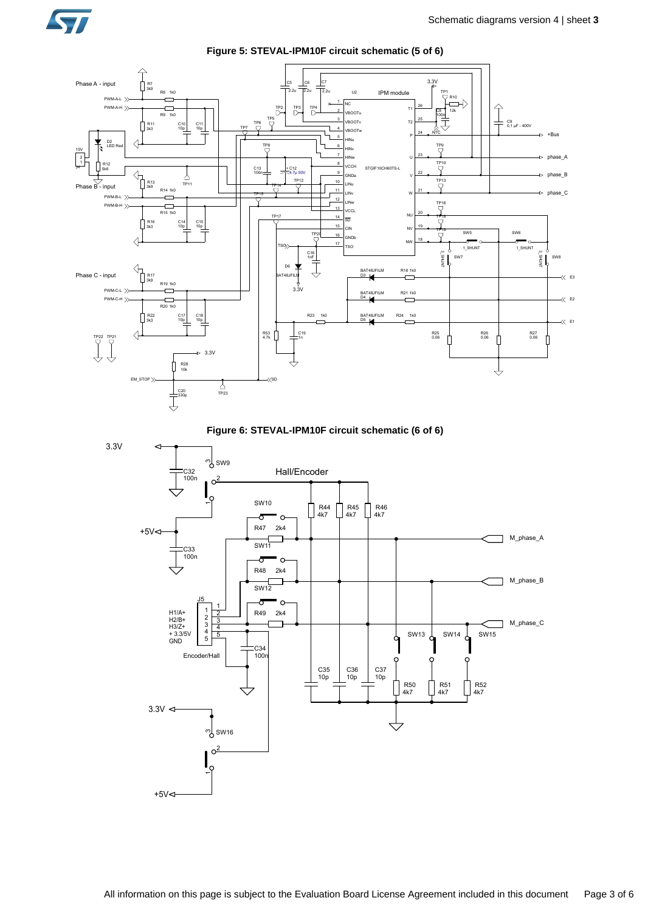



**Figure 5: STEVAL-IPM10F circuit schematic (5 of 6)**



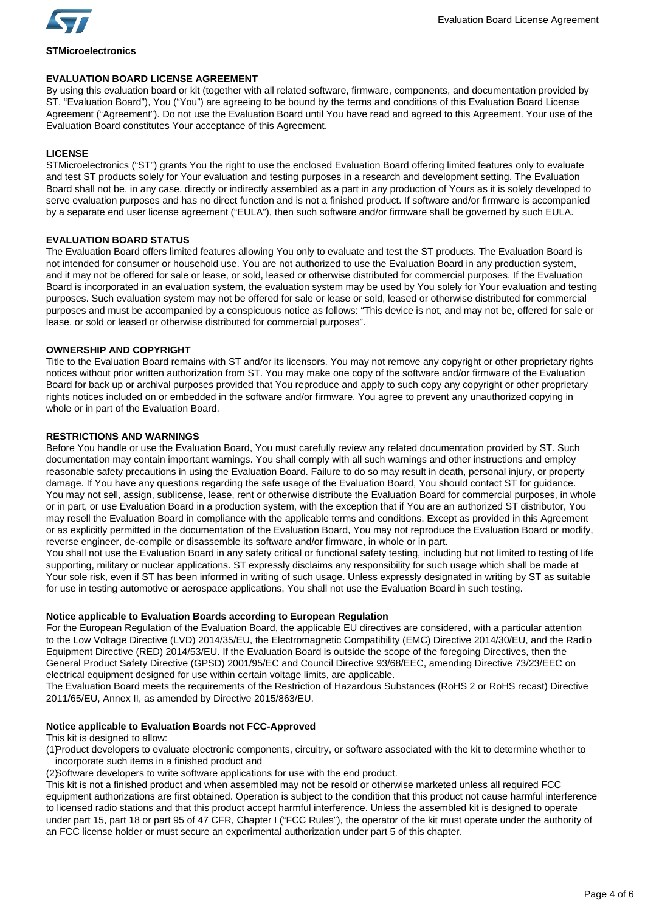

**STMicroelectronics**

# **EVALUATION BOARD LICENSE AGREEMENT**

By using this evaluation board or kit (together with all related software, firmware, components, and documentation provided by ST, "Evaluation Board"), You ("You") are agreeing to be bound by the terms and conditions of this Evaluation Board License Agreement ("Agreement"). Do not use the Evaluation Board until You have read and agreed to this Agreement. Your use of the Evaluation Board constitutes Your acceptance of this Agreement.

# **LICENSE**

STMicroelectronics ("ST") grants You the right to use the enclosed Evaluation Board offering limited features only to evaluate and test ST products solely for Your evaluation and testing purposes in a research and development setting. The Evaluation Board shall not be, in any case, directly or indirectly assembled as a part in any production of Yours as it is solely developed to serve evaluation purposes and has no direct function and is not a finished product. If software and/or firmware is accompanied by a separate end user license agreement ("EULA"), then such software and/or firmware shall be governed by such EULA.

#### **EVALUATION BOARD STATUS**

The Evaluation Board offers limited features allowing You only to evaluate and test the ST products. The Evaluation Board is not intended for consumer or household use. You are not authorized to use the Evaluation Board in any production system, and it may not be offered for sale or lease, or sold, leased or otherwise distributed for commercial purposes. If the Evaluation Board is incorporated in an evaluation system, the evaluation system may be used by You solely for Your evaluation and testing purposes. Such evaluation system may not be offered for sale or lease or sold, leased or otherwise distributed for commercial purposes and must be accompanied by a conspicuous notice as follows: "This device is not, and may not be, offered for sale or lease, or sold or leased or otherwise distributed for commercial purposes".

# **OWNERSHIP AND COPYRIGHT**

Title to the Evaluation Board remains with ST and/or its licensors. You may not remove any copyright or other proprietary rights notices without prior written authorization from ST. You may make one copy of the software and/or firmware of the Evaluation Board for back up or archival purposes provided that You reproduce and apply to such copy any copyright or other proprietary rights notices included on or embedded in the software and/or firmware. You agree to prevent any unauthorized copying in whole or in part of the Evaluation Board.

# **RESTRICTIONS AND WARNINGS**

Before You handle or use the Evaluation Board, You must carefully review any related documentation provided by ST. Such documentation may contain important warnings. You shall comply with all such warnings and other instructions and employ reasonable safety precautions in using the Evaluation Board. Failure to do so may result in death, personal injury, or property damage. If You have any questions regarding the safe usage of the Evaluation Board, You should contact ST for guidance. You may not sell, assign, sublicense, lease, rent or otherwise distribute the Evaluation Board for commercial purposes, in whole or in part, or use Evaluation Board in a production system, with the exception that if You are an authorized ST distributor, You may resell the Evaluation Board in compliance with the applicable terms and conditions. Except as provided in this Agreement or as explicitly permitted in the documentation of the Evaluation Board, You may not reproduce the Evaluation Board or modify, reverse engineer, de-compile or disassemble its software and/or firmware, in whole or in part.

You shall not use the Evaluation Board in any safety critical or functional safety testing, including but not limited to testing of life supporting, military or nuclear applications. ST expressly disclaims any responsibility for such usage which shall be made at Your sole risk, even if ST has been informed in writing of such usage. Unless expressly designated in writing by ST as suitable for use in testing automotive or aerospace applications, You shall not use the Evaluation Board in such testing.

# **Notice applicable to Evaluation Boards according to European Regulation**

For the European Regulation of the Evaluation Board, the applicable EU directives are considered, with a particular attention to the Low Voltage Directive (LVD) 2014/35/EU, the Electromagnetic Compatibility (EMC) Directive 2014/30/EU, and the Radio Equipment Directive (RED) 2014/53/EU. If the Evaluation Board is outside the scope of the foregoing Directives, then the General Product Safety Directive (GPSD) 2001/95/EC and Council Directive 93/68/EEC, amending Directive 73/23/EEC on electrical equipment designed for use within certain voltage limits, are applicable.

The Evaluation Board meets the requirements of the Restriction of Hazardous Substances (RoHS 2 or RoHS recast) Directive 2011/65/EU, Annex II, as amended by Directive 2015/863/EU.

# **Notice applicable to Evaluation Boards not FCC-Approved**

This kit is designed to allow:

(1)Product developers to evaluate electronic components, circuitry, or software associated with the kit to determine whether to incorporate such items in a finished product and

(2)Software developers to write software applications for use with the end product.

This kit is not a finished product and when assembled may not be resold or otherwise marketed unless all required FCC equipment authorizations are first obtained. Operation is subject to the condition that this product not cause harmful interference to licensed radio stations and that this product accept harmful interference. Unless the assembled kit is designed to operate under part 15, part 18 or part 95 of 47 CFR, Chapter I ("FCC Rules"), the operator of the kit must operate under the authority of an FCC license holder or must secure an experimental authorization under part 5 of this chapter.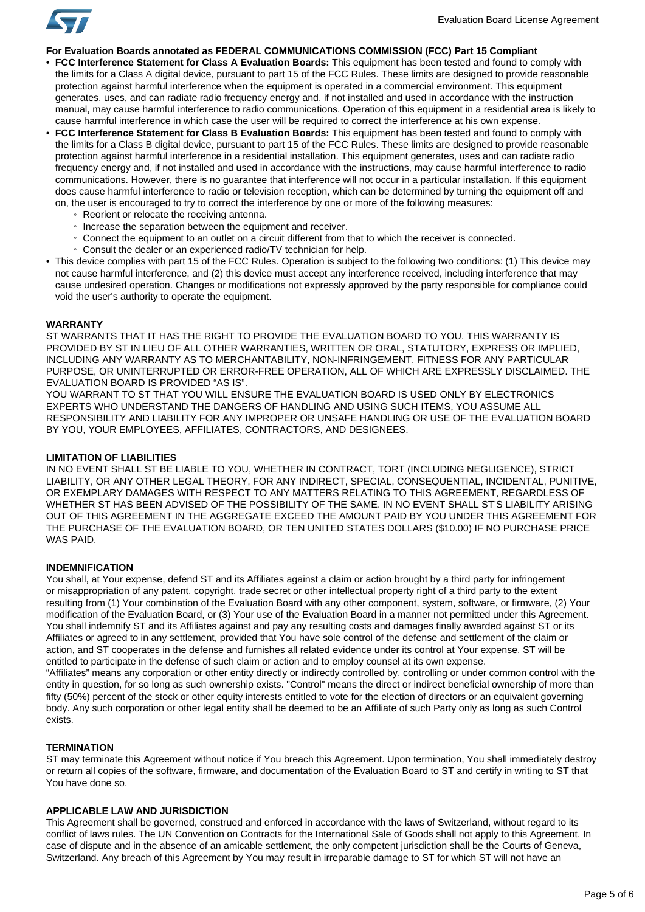

**For Evaluation Boards annotated as FEDERAL COMMUNICATIONS COMMISSION (FCC) Part 15 Compliant**

- **FCC Interference Statement for Class A Evaluation Boards:** This equipment has been tested and found to comply with the limits for a Class A digital device, pursuant to part 15 of the FCC Rules. These limits are designed to provide reasonable protection against harmful interference when the equipment is operated in a commercial environment. This equipment generates, uses, and can radiate radio frequency energy and, if not installed and used in accordance with the instruction manual, may cause harmful interference to radio communications. Operation of this equipment in a residential area is likely to cause harmful interference in which case the user will be required to correct the interference at his own expense.
- **FCC Interference Statement for Class B Evaluation Boards:** This equipment has been tested and found to comply with the limits for a Class B digital device, pursuant to part 15 of the FCC Rules. These limits are designed to provide reasonable protection against harmful interference in a residential installation. This equipment generates, uses and can radiate radio frequency energy and, if not installed and used in accordance with the instructions, may cause harmful interference to radio communications. However, there is no guarantee that interference will not occur in a particular installation. If this equipment does cause harmful interference to radio or television reception, which can be determined by turning the equipment off and on, the user is encouraged to try to correct the interference by one or more of the following measures:
	- Reorient or relocate the receiving antenna.
	- Increase the separation between the equipment and receiver.
	- Connect the equipment to an outlet on a circuit different from that to which the receiver is connected.
	- Consult the dealer or an experienced radio/TV technician for help.
- This device complies with part 15 of the FCC Rules. Operation is subject to the following two conditions: (1) This device may not cause harmful interference, and (2) this device must accept any interference received, including interference that may cause undesired operation. Changes or modifications not expressly approved by the party responsible for compliance could void the user's authority to operate the equipment.

#### **WARRANTY**

ST WARRANTS THAT IT HAS THE RIGHT TO PROVIDE THE EVALUATION BOARD TO YOU. THIS WARRANTY IS PROVIDED BY ST IN LIEU OF ALL OTHER WARRANTIES, WRITTEN OR ORAL, STATUTORY, EXPRESS OR IMPLIED, INCLUDING ANY WARRANTY AS TO MERCHANTABILITY, NON-INFRINGEMENT, FITNESS FOR ANY PARTICULAR PURPOSE, OR UNINTERRUPTED OR ERROR-FREE OPERATION, ALL OF WHICH ARE EXPRESSLY DISCLAIMED. THE EVALUATION BOARD IS PROVIDED "AS IS".

YOU WARRANT TO ST THAT YOU WILL ENSURE THE EVALUATION BOARD IS USED ONLY BY ELECTRONICS EXPERTS WHO UNDERSTAND THE DANGERS OF HANDLING AND USING SUCH ITEMS, YOU ASSUME ALL RESPONSIBILITY AND LIABILITY FOR ANY IMPROPER OR UNSAFE HANDLING OR USE OF THE EVALUATION BOARD BY YOU, YOUR EMPLOYEES, AFFILIATES, CONTRACTORS, AND DESIGNEES.

### **LIMITATION OF LIABILITIES**

IN NO EVENT SHALL ST BE LIABLE TO YOU, WHETHER IN CONTRACT, TORT (INCLUDING NEGLIGENCE), STRICT LIABILITY, OR ANY OTHER LEGAL THEORY, FOR ANY INDIRECT, SPECIAL, CONSEQUENTIAL, INCIDENTAL, PUNITIVE, OR EXEMPLARY DAMAGES WITH RESPECT TO ANY MATTERS RELATING TO THIS AGREEMENT, REGARDLESS OF WHETHER ST HAS BEEN ADVISED OF THE POSSIBILITY OF THE SAME. IN NO EVENT SHALL ST'S LIABILITY ARISING OUT OF THIS AGREEMENT IN THE AGGREGATE EXCEED THE AMOUNT PAID BY YOU UNDER THIS AGREEMENT FOR THE PURCHASE OF THE EVALUATION BOARD, OR TEN UNITED STATES DOLLARS (\$10.00) IF NO PURCHASE PRICE WAS PAID.

#### **INDEMNIFICATION**

You shall, at Your expense, defend ST and its Affiliates against a claim or action brought by a third party for infringement or misappropriation of any patent, copyright, trade secret or other intellectual property right of a third party to the extent resulting from (1) Your combination of the Evaluation Board with any other component, system, software, or firmware, (2) Your modification of the Evaluation Board, or (3) Your use of the Evaluation Board in a manner not permitted under this Agreement. You shall indemnify ST and its Affiliates against and pay any resulting costs and damages finally awarded against ST or its Affiliates or agreed to in any settlement, provided that You have sole control of the defense and settlement of the claim or action, and ST cooperates in the defense and furnishes all related evidence under its control at Your expense. ST will be entitled to participate in the defense of such claim or action and to employ counsel at its own expense. "Affiliates" means any corporation or other entity directly or indirectly controlled by, controlling or under common control with the entity in question, for so long as such ownership exists. "Control" means the direct or indirect beneficial ownership of more than fifty (50%) percent of the stock or other equity interests entitled to vote for the election of directors or an equivalent governing body. Any such corporation or other legal entity shall be deemed to be an Affiliate of such Party only as long as such Control

#### **TERMINATION**

exists.

ST may terminate this Agreement without notice if You breach this Agreement. Upon termination, You shall immediately destroy or return all copies of the software, firmware, and documentation of the Evaluation Board to ST and certify in writing to ST that You have done so.

### **APPLICABLE LAW AND JURISDICTION**

This Agreement shall be governed, construed and enforced in accordance with the laws of Switzerland, without regard to its conflict of laws rules. The UN Convention on Contracts for the International Sale of Goods shall not apply to this Agreement. In case of dispute and in the absence of an amicable settlement, the only competent jurisdiction shall be the Courts of Geneva, Switzerland. Any breach of this Agreement by You may result in irreparable damage to ST for which ST will not have an